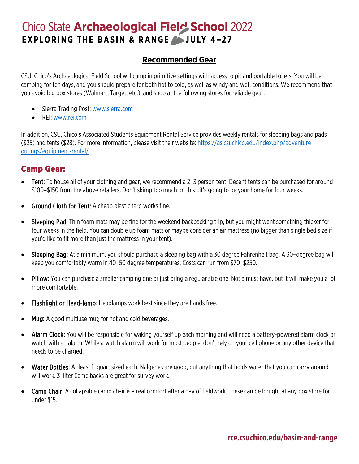## **Chico State Archaeological Field School 2022 EXPLORING THE BASIN & RANGE SJULY 4-27**

#### **Recommended Gear**

CSU, Chico's Archaeological Field School will camp in primitive settings with access to pit and portable toilets. You will be camping for ten days, and you should prepare for both hot to cold, as well as windy and wet, conditions. We recommend that you avoid big box stores (Walmart, Target, etc.), and shop at the following stores for reliable gear:

- Sierra Trading Post[: www.sierra.com](http://www.sierra.com/)
- REI: [www.rei.com](http://www.rei.com/)

In addition, CSU, Chico's Associated Students Equipment Rental Service provides weekly rentals for sleeping bags and pads (\$25) and tents (\$28). For more information, please visit their website: [https://as.csuchico.edu/index.php/adventure](https://as.csuchico.edu/index.php/adventure-outings/equipment-rental/)[outings/equipment-rental/.](https://as.csuchico.edu/index.php/adventure-outings/equipment-rental/)

#### **Camp Gear:**

- Tent: To house all of your clothing and gear, we recommend a 2–3 person tent. Decent tents can be purchased for around \$100–\$150 from the above retailers. Don't skimp too much on this…it's going to be your home for four weeks.
- Ground Cloth for Tent: A cheap plastic tarp works fine.
- Sleeping Pad: Thin foam mats may be fine for the weekend backpacking trip, but you might want something thicker for four weeks in the field. You can double up foam mats or maybe consider an air mattress (no bigger than single bed size if you'd like to fit more than just the mattress in your tent).
- Sleeping Bag: At a minimum, you should purchase a sleeping bag with a 30 degree Fahrenheit bag. A 30–degree bag will keep you comfortably warm in 40–50 degree temperatures. Costs can run from \$70–\$250.
- Pillow: You can purchase a smaller camping one or just bring a regular size one. Not a must have, but it will make you a lot more comfortable.
- Flashlight or Head-lamp: Headlamps work best since they are hands free.
- Mug: A good multiuse mug for hot and cold beverages.
- Alarm Clock: You will be responsible for waking yourself up each morning and will need a battery-powered alarm clock or watch with an alarm. While a watch alarm will work for most people, don't rely on your cell phone or any other device that needs to be charged.
- Water Bottles: At least 1–quart sized each. Nalgenes are good, but anything that holds water that you can carry around will work. 3–liter Camelbacks are great for survey work.
- Camp Chair: A collapsible camp chair is a real comfort after a day of fieldwork. These can be bought at any box store for under \$15.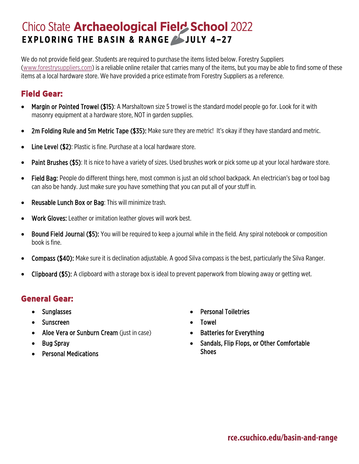# **Chico State Archaeological Field School 2022 EXPLORING THE BASIN & RANGE SJULY 4-27**

We do not provide field gear. Students are required to purchase the items listed below. Forestry Suppliers [\(www.forestrysuppliers.com\)](http://www.forestrysuppliers.com/) is a reliable online retailer that carries many of the items, but you may be able to find some of these items at a local hardware store. We have provided a price estimate from Forestry Suppliers as a reference.

### **Field Gear:**

- Margin or Pointed Trowel (\$15): A Marshaltown size 5 trowel is the standard model people go for. Look for it with masonry equipment at a hardware store, NOT in garden supplies.
- 2m Folding Rule and 5m Metric Tape (\$35): Make sure they are metric! It's okay if they have standard and metric.
- Line Level (\$2): Plastic is fine. Purchase at a local hardware store.
- Paint Brushes (\$5): It is nice to have a variety of sizes. Used brushes work or pick some up at your local hardware store.
- Field Bag: People do different things here, most common is just an old school backpack. An electrician's bag or tool bag can also be handy. Just make sure you have something that you can put all of your stuff in.
- Reusable Lunch Box or Bag: This will minimize trash.
- Work Gloves: Leather or imitation leather gloves will work best.
- Bound Field Journal (\$5): You will be required to keep a journal while in the field. Any spiral notebook or composition book is fine.
- Compass (\$40): Make sure it is declination adjustable. A good Silva compass is the best, particularly the Silva Ranger.
- Clipboard (\$5): A clipboard with a storage box is ideal to prevent paperwork from blowing away or getting wet.

### **General Gear:**

- Sunglasses
- Sunscreen
- Aloe Vera or Sunburn Cream (just in case)
- Bug Spray
- Personal Medications
- Personal Toiletries
- Towel
- Batteries for Everything
- Sandals, Flip Flops, or Other Comfortable **Shoes**